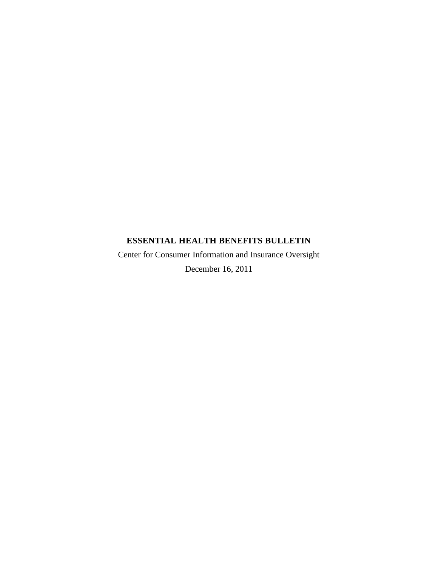## **ESSENTIAL HEALTH BENEFITS BULLETIN**

Center for Consumer Information and Insurance Oversight December 16, 2011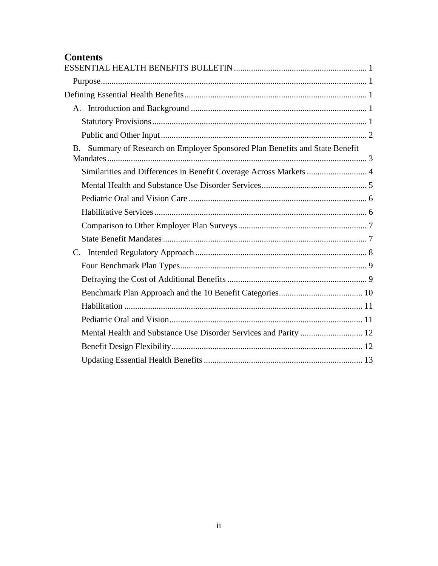# **Contents**

| Summary of Research on Employer Sponsored Plan Benefits and State Benefit<br>$B_{-}$ |
|--------------------------------------------------------------------------------------|
| Similarities and Differences in Benefit Coverage Across Markets  4                   |
|                                                                                      |
|                                                                                      |
|                                                                                      |
|                                                                                      |
|                                                                                      |
| $C_{\cdot}$                                                                          |
|                                                                                      |
|                                                                                      |
|                                                                                      |
|                                                                                      |
|                                                                                      |
|                                                                                      |
|                                                                                      |
|                                                                                      |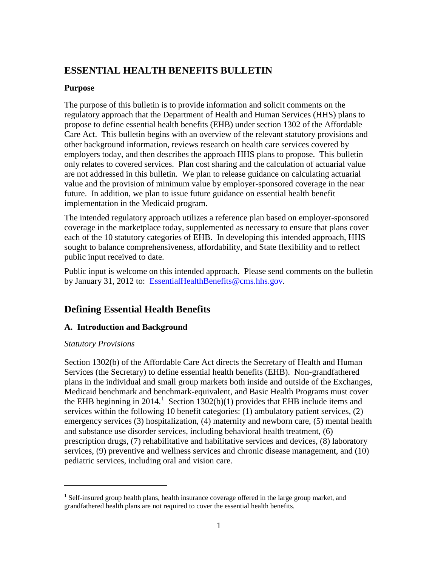## <span id="page-2-0"></span>**ESSENTIAL HEALTH BENEFITS BULLETIN**

## <span id="page-2-1"></span>**Purpose**

The purpose of this bulletin is to provide information and solicit comments on the regulatory approach that the Department of Health and Human Services (HHS) plans to propose to define essential health benefits (EHB) under section 1302 of the Affordable Care Act. This bulletin begins with an overview of the relevant statutory provisions and other background information, reviews research on health care services covered by employers today, and then describes the approach HHS plans to propose. This bulletin only relates to covered services. Plan cost sharing and the calculation of actuarial value are not addressed in this bulletin. We plan to release guidance on calculating actuarial value and the provision of minimum value by employer-sponsored coverage in the near future. In addition, we plan to issue future guidance on essential health benefit implementation in the Medicaid program.

The intended regulatory approach utilizes a reference plan based on employer-sponsored coverage in the marketplace today, supplemented as necessary to ensure that plans cover each of the 10 statutory categories of EHB. In developing this intended approach, HHS sought to balance comprehensiveness, affordability, and State flexibility and to reflect public input received to date.

Public input is welcome on this intended approach. Please send comments on the bulletin by January 31, 2012 to: [EssentialHealthBenefits@cms.hhs.gov.](mailto:EssentialHealthBenefits@cms.hhs.gov)

## <span id="page-2-2"></span>**Defining Essential Health Benefits**

## <span id="page-2-3"></span>**A. Introduction and Background**

## <span id="page-2-4"></span>*Statutory Provisions*

 $\overline{a}$ 

Section 1302(b) of the Affordable Care Act directs the Secretary of Health and Human Services (the Secretary) to define essential health benefits (EHB). Non-grandfathered plans in the individual and small group markets both inside and outside of the Exchanges, Medicaid benchmark and benchmark-equivalent, and Basic Health Programs must cover the EHB beginning in 20[1](#page-2-5)4.<sup>1</sup> Section 1302(b)(1) provides that EHB include items and services within the following 10 benefit categories: (1) ambulatory patient services, (2) emergency services (3) hospitalization, (4) maternity and newborn care, (5) mental health and substance use disorder services, including behavioral health treatment, (6) prescription drugs, (7) rehabilitative and habilitative services and devices, (8) laboratory services, (9) preventive and wellness services and chronic disease management, and (10) pediatric services, including oral and vision care.

<span id="page-2-5"></span> $<sup>1</sup>$  Self-insured group health plans, health insurance coverage offered in the large group market, and</sup> grandfathered health plans are not required to cover the essential health benefits.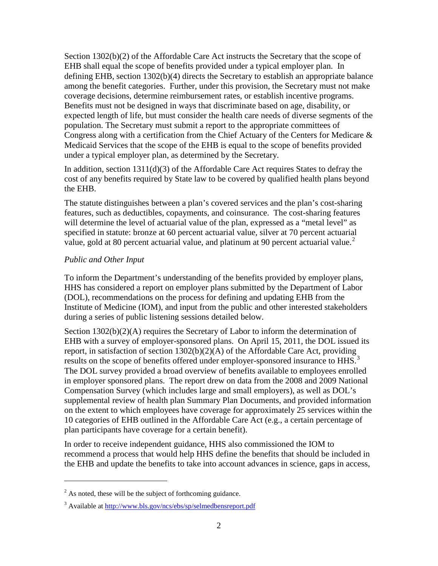Section 1302(b)(2) of the Affordable Care Act instructs the Secretary that the scope of EHB shall equal the scope of benefits provided under a typical employer plan. In defining EHB, section 1302(b)(4) directs the Secretary to establish an appropriate balance among the benefit categories. Further, under this provision, the Secretary must not make coverage decisions, determine reimbursement rates, or establish incentive programs. Benefits must not be designed in ways that discriminate based on age, disability, or expected length of life, but must consider the health care needs of diverse segments of the population. The Secretary must submit a report to the appropriate committees of Congress along with a certification from the Chief Actuary of the Centers for Medicare  $\&$ Medicaid Services that the scope of the EHB is equal to the scope of benefits provided under a typical employer plan, as determined by the Secretary.

In addition, section 1311(d)(3) of the Affordable Care Act requires States to defray the cost of any benefits required by State law to be covered by qualified health plans beyond the EHB.

The statute distinguishes between a plan's covered services and the plan's cost-sharing features, such as deductibles, copayments, and coinsurance. The cost-sharing features will determine the level of actuarial value of the plan, expressed as a "metal level" as specified in statute: bronze at 60 percent actuarial value, silver at 70 percent actuarial value, gold at 80 percent actuarial value, and platinum at 90 percent actuarial value.<sup>[2](#page-3-1)</sup>

## <span id="page-3-0"></span>*Public and Other Input*

 $\overline{a}$ 

To inform the Department's understanding of the benefits provided by employer plans, HHS has considered a report on employer plans submitted by the Department of Labor (DOL), recommendations on the process for defining and updating EHB from the Institute of Medicine (IOM), and input from the public and other interested stakeholders during a series of public listening sessions detailed below.

Section  $1302(b)(2)(A)$  requires the Secretary of Labor to inform the determination of EHB with a survey of employer-sponsored plans. On April 15, 2011, the DOL issued its report, in satisfaction of section 1302(b)(2)(A) of the Affordable Care Act, providing results on the scope of benefits offered under employer-sponsored insurance to HHS.<sup>[3](#page-3-2)</sup> The DOL survey provided a broad overview of benefits available to employees enrolled in employer sponsored plans. The report drew on data from the 2008 and 2009 National Compensation Survey (which includes large and small employers), as well as DOL's supplemental review of health plan Summary Plan Documents, and provided information on the extent to which employees have coverage for approximately 25 services within the 10 categories of EHB outlined in the Affordable Care Act (e.g., a certain percentage of plan participants have coverage for a certain benefit).

In order to receive independent guidance, HHS also commissioned the IOM to recommend a process that would help HHS define the benefits that should be included in the EHB and update the benefits to take into account advances in science, gaps in access,

<span id="page-3-1"></span> $^{2}$  As noted, these will be the subject of forthcoming guidance.

<span id="page-3-2"></span><sup>3</sup> Available at<http://www.bls.gov/ncs/ebs/sp/selmedbensreport.pdf>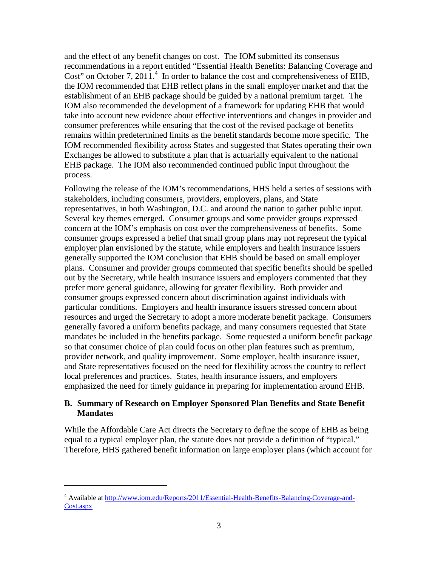and the effect of any benefit changes on cost. The IOM submitted its consensus recommendations in a report entitled "Essential Health Benefits: Balancing Coverage and Cost" on October 7, 2011.<sup>[4](#page-4-1)</sup> In order to balance the cost and comprehensiveness of EHB, the IOM recommended that EHB reflect plans in the small employer market and that the establishment of an EHB package should be guided by a national premium target. The IOM also recommended the development of a framework for updating EHB that would take into account new evidence about effective interventions and changes in provider and consumer preferences while ensuring that the cost of the revised package of benefits remains within predetermined limits as the benefit standards become more specific. The IOM recommended flexibility across States and suggested that States operating their own Exchanges be allowed to substitute a plan that is actuarially equivalent to the national EHB package. The IOM also recommended continued public input throughout the process.

Following the release of the IOM's recommendations, HHS held a series of sessions with stakeholders, including consumers, providers, employers, plans, and State representatives, in both Washington, D.C. and around the nation to gather public input. Several key themes emerged. Consumer groups and some provider groups expressed concern at the IOM's emphasis on cost over the comprehensiveness of benefits. Some consumer groups expressed a belief that small group plans may not represent the typical employer plan envisioned by the statute, while employers and health insurance issuers generally supported the IOM conclusion that EHB should be based on small employer plans. Consumer and provider groups commented that specific benefits should be spelled out by the Secretary, while health insurance issuers and employers commented that they prefer more general guidance, allowing for greater flexibility. Both provider and consumer groups expressed concern about discrimination against individuals with particular conditions. Employers and health insurance issuers stressed concern about resources and urged the Secretary to adopt a more moderate benefit package. Consumers generally favored a uniform benefits package, and many consumers requested that State mandates be included in the benefits package. Some requested a uniform benefit package so that consumer choice of plan could focus on other plan features such as premium, provider network, and quality improvement. Some employer, health insurance issuer, and State representatives focused on the need for flexibility across the country to reflect local preferences and practices. States, health insurance issuers, and employers emphasized the need for timely guidance in preparing for implementation around EHB.

#### <span id="page-4-0"></span>**B. Summary of Research on Employer Sponsored Plan Benefits and State Benefit Mandates**

While the Affordable Care Act directs the Secretary to define the scope of EHB as being equal to a typical employer plan, the statute does not provide a definition of "typical." Therefore, HHS gathered benefit information on large employer plans (which account for

<span id="page-4-1"></span><sup>4</sup> Available at [http://www.iom.edu/Reports/2011/Essential-Health-Benefits-Balancing-Coverage-and-](http://www.iom.edu/Reports/2011/Essential-Health-Benefits-Balancing-Coverage-and-Cost.aspx)[Cost.aspx](http://www.iom.edu/Reports/2011/Essential-Health-Benefits-Balancing-Coverage-and-Cost.aspx)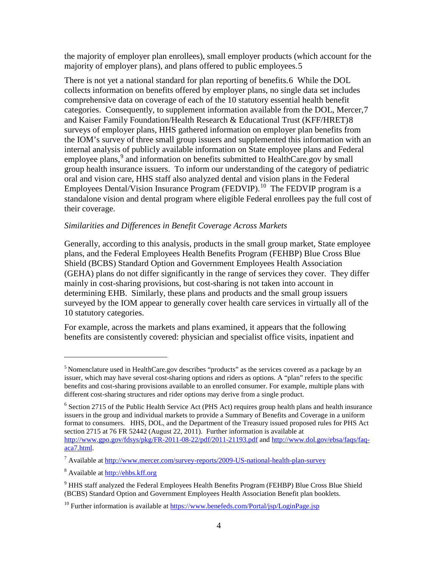the majority of employer plan enrollees), small employer products (which account for the majority of employer plans), and plans offered to public employees.[5](#page-5-1)

There is not yet a national standard for plan reporting of benefits.[6](#page-5-2) While the DOL collects information on benefits offered by employer plans, no single data set includes comprehensive data on coverage of each of the 10 statutory essential health benefit categories. Consequently, to supplement information available from the DOL, Mercer,[7](#page-5-3) and Kaiser Family Foundation/Health Research & Educational Trust (KFF/HRET)[8](#page-5-4) surveys of employer plans, HHS gathered information on employer plan benefits from the IOM's survey of three small group issuers and supplemented this information with an internal analysis of publicly available information on State employee plans and Federal employee plans,<sup>[9](#page-5-5)</sup> and information on benefits submitted to HealthCare.gov by small group health insurance issuers. To inform our understanding of the category of pediatric oral and vision care, HHS staff also analyzed dental and vision plans in the Federal Employees Dental/Vision Insurance Program (FEDVIP).<sup>[10](#page-5-6)</sup> The FEDVIP program is a standalone vision and dental program where eligible Federal enrollees pay the full cost of their coverage.

## <span id="page-5-0"></span>*Similarities and Differences in Benefit Coverage Across Markets*

Generally, according to this analysis, products in the small group market, State employee plans, and the Federal Employees Health Benefits Program (FEHBP) Blue Cross Blue Shield (BCBS) Standard Option and Government Employees Health Association (GEHA) plans do not differ significantly in the range of services they cover. They differ mainly in cost-sharing provisions, but cost-sharing is not taken into account in determining EHB. Similarly, these plans and products and the small group issuers surveyed by the IOM appear to generally cover health care services in virtually all of the 10 statutory categories.

For example, across the markets and plans examined, it appears that the following benefits are consistently covered: physician and specialist office visits, inpatient and

<span id="page-5-1"></span><sup>&</sup>lt;sup>5</sup> Nomenclature used in HealthCare.gov describes "products" as the services covered as a package by an issuer, which may have several cost-sharing options and riders as options. A "plan" refers to the specific benefits and cost-sharing provisions available to an enrolled consumer. For example, multiple plans with different cost-sharing structures and rider options may derive from a single product.

<span id="page-5-2"></span> $6$  Section 2715 of the Public Health Service Act (PHS Act) requires group health plans and health insurance issuers in the group and individual markets to provide a Summary of Benefits and Coverage in a uniform format to consumers. HHS, DOL, and the Department of the Treasury issued proposed rules for PHS Act section 2715 at 76 FR 52442 (August 22, 2011). Further information is available at <http://www.gpo.gov/fdsys/pkg/FR-2011-08-22/pdf/2011-21193.pdf> an[d http://www.dol.gov/ebsa/faqs/faq](http://www.dol.gov/ebsa/faqs/faq-aca7.html)[aca7.html.](http://www.dol.gov/ebsa/faqs/faq-aca7.html)

<span id="page-5-3"></span><sup>7</sup> Available at<http://www.mercer.com/survey-reports/2009-US-national-health-plan-survey>

<span id="page-5-4"></span><sup>8</sup> Available at [http://ehbs.kff.org](http://ehbs.kff.org/)

<span id="page-5-5"></span><sup>&</sup>lt;sup>9</sup> HHS staff analyzed the Federal Employees Health Benefits Program (FEHBP) Blue Cross Blue Shield (BCBS) Standard Option and Government Employees Health Association Benefit plan booklets.

<span id="page-5-6"></span><sup>&</sup>lt;sup>10</sup> Further information is available at<https://www.benefeds.com/Portal/jsp/LoginPage.jsp>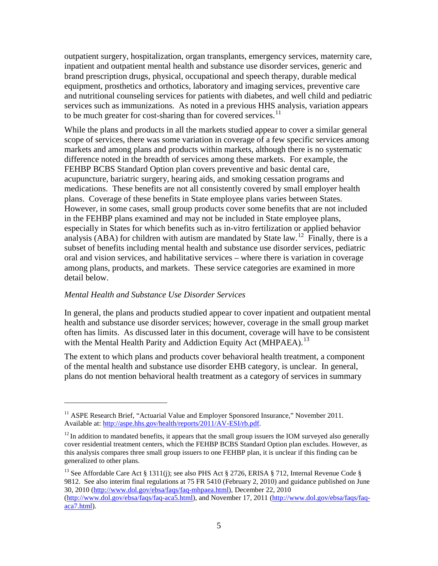outpatient surgery, hospitalization, organ transplants, emergency services, maternity care, inpatient and outpatient mental health and substance use disorder services, generic and brand prescription drugs, physical, occupational and speech therapy, durable medical equipment, prosthetics and orthotics, laboratory and imaging services, preventive care and nutritional counseling services for patients with diabetes, and well child and pediatric services such as immunizations. As noted in a previous HHS analysis, variation appears to be much greater for cost-sharing than for covered services.<sup>[11](#page-6-1)</sup>

While the plans and products in all the markets studied appear to cover a similar general scope of services, there was some variation in coverage of a few specific services among markets and among plans and products within markets, although there is no systematic difference noted in the breadth of services among these markets. For example, the FEHBP BCBS Standard Option plan covers preventive and basic dental care, acupuncture, bariatric surgery, hearing aids, and smoking cessation programs and medications. These benefits are not all consistently covered by small employer health plans. Coverage of these benefits in State employee plans varies between States. However, in some cases, small group products cover some benefits that are not included in the FEHBP plans examined and may not be included in State employee plans, especially in States for which benefits such as in-vitro fertilization or applied behavior analysis (ABA) for children with autism are mandated by State law.<sup>12</sup> Finally, there is a subset of benefits including mental health and substance use disorder services, pediatric oral and vision services, and habilitative services – where there is variation in coverage among plans, products, and markets. These service categories are examined in more detail below.

#### <span id="page-6-0"></span>*Mental Health and Substance Use Disorder Services*

 $\overline{a}$ 

In general, the plans and products studied appear to cover inpatient and outpatient mental health and substance use disorder services; however, coverage in the small group market often has limits. As discussed later in this document, coverage will have to be consistent with the Mental Health Parity and Addiction Equity Act (MHPAEA).<sup>[13](#page-6-3)</sup>

The extent to which plans and products cover behavioral health treatment, a component of the mental health and substance use disorder EHB category, is unclear. In general, plans do not mention behavioral health treatment as a category of services in summary

<span id="page-6-1"></span><sup>&</sup>lt;sup>11</sup> ASPE Research Brief, "Actuarial Value and Employer Sponsored Insurance," November 2011. Available at: [http://aspe.hhs.gov/health/reports/2011/AV-ESI/rb.pdf.](http://aspe.hhs.gov/health/reports/2011/AV-ESI/rb.pdf)

<span id="page-6-2"></span> $12$  In addition to mandated benefits, it appears that the small group issuers the IOM surveyed also generally cover residential treatment centers, which the FEHBP BCBS Standard Option plan excludes. However, as this analysis compares three small group issuers to one FEHBP plan, it is unclear if this finding can be generalized to other plans.

<span id="page-6-3"></span><sup>&</sup>lt;sup>13</sup> See Affordable Care Act § 1311(j); see also PHS Act § 2726, ERISA § 712, Internal Revenue Code § 9812. See also interim final regulations at 75 FR 5410 (February 2, 2010) and guidance published on June 30, 2010 [\(http://www.dol.gov/ebsa/faqs/faq-mhpaea.html\)](http://www.dol.gov/ebsa/faqs/faq-mhpaea.html), December 22, 2010 [\(http://www.dol.gov/ebsa/faqs/faq-aca5.html\)](http://www.dol.gov/ebsa/faqs/faq-aca5.html), and November 17, 2011 [\(http://www.dol.gov/ebsa/faqs/faq](http://www.dol.gov/ebsa/faqs/faq-aca7.html)[aca7.html\)](http://www.dol.gov/ebsa/faqs/faq-aca7.html).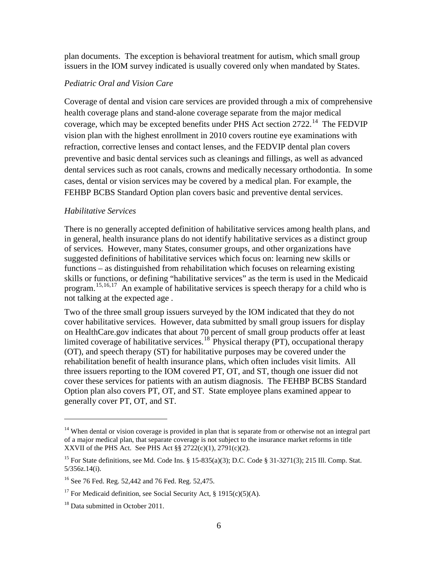plan documents. The exception is behavioral treatment for autism, which small group issuers in the IOM survey indicated is usually covered only when mandated by States.

### <span id="page-7-0"></span>*Pediatric Oral and Vision Care*

Coverage of dental and vision care services are provided through a mix of comprehensive health coverage plans and stand-alone coverage separate from the major medical coverage, which may be excepted benefits under PHS Act section 2722.<sup>[14](#page-7-2)</sup> The FEDVIP vision plan with the highest enrollment in 2010 covers routine eye examinations with refraction, corrective lenses and contact lenses, and the FEDVIP dental plan covers preventive and basic dental services such as cleanings and fillings, as well as advanced dental services such as root canals, crowns and medically necessary orthodontia. In some cases, dental or vision services may be covered by a medical plan. For example, the FEHBP BCBS Standard Option plan covers basic and preventive dental services.

#### <span id="page-7-1"></span>*Habilitative Services*

There is no generally accepted definition of habilitative services among health plans, and in general, health insurance plans do not identify habilitative services as a distinct group of services. However, many States, consumer groups, and other organizations have suggested definitions of habilitative services which focus on: learning new skills or functions – as distinguished from rehabilitation which focuses on relearning existing skills or functions, or defining "habilitative services" as the term is used in the Medicaid program.[15](#page-7-3),[16,](#page-7-4)[17](#page-7-5) An example of habilitative services is speech therapy for a child who is not talking at the expected age .

Two of the three small group issuers surveyed by the IOM indicated that they do not cover habilitative services. However, data submitted by small group issuers for display on HealthCare.gov indicates that about 70 percent of small group products offer at least limited coverage of habilitative services.<sup>[18](#page-7-6)</sup> Physical therapy (PT), occupational therapy (OT), and speech therapy (ST) for habilitative purposes may be covered under the rehabilitation benefit of health insurance plans, which often includes visit limits. All three issuers reporting to the IOM covered PT, OT, and ST, though one issuer did not cover these services for patients with an autism diagnosis. The FEHBP BCBS Standard Option plan also covers PT, OT, and ST. State employee plans examined appear to generally cover PT, OT, and ST.

<span id="page-7-2"></span> $14$  When dental or vision coverage is provided in plan that is separate from or otherwise not an integral part of a major medical plan, that separate coverage is not subject to the insurance market reforms in title XXVII of the PHS Act. See PHS Act  $\S\S 2722(c)(1)$ , 2791(c)(2).

<span id="page-7-3"></span><sup>&</sup>lt;sup>15</sup> For State definitions, see Md. Code Ins. § 15-835(a)(3); D.C. Code § 31-3271(3); 215 Ill. Comp. Stat. 5/356z.14(i).

<span id="page-7-4"></span><sup>16</sup> See 76 Fed. Reg. 52,442 and 76 Fed. Reg. 52,475.

<span id="page-7-5"></span><sup>&</sup>lt;sup>17</sup> For Medicaid definition, see Social Security Act, § 1915(c)(5)(A).

<span id="page-7-6"></span><sup>&</sup>lt;sup>18</sup> Data submitted in October 2011.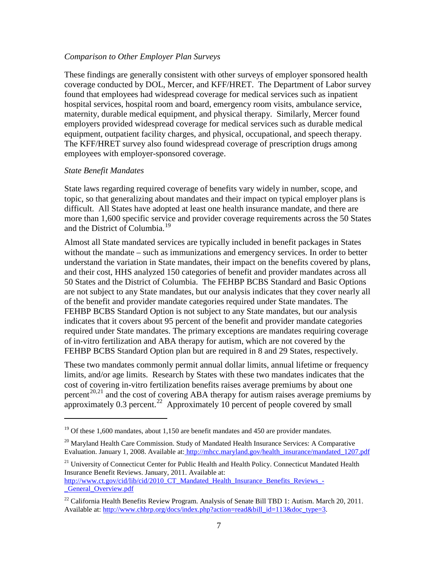#### <span id="page-8-0"></span>*Comparison to Other Employer Plan Surveys*

These findings are generally consistent with other surveys of employer sponsored health coverage conducted by DOL, Mercer, and KFF/HRET. The Department of Labor survey found that employees had widespread coverage for medical services such as inpatient hospital services, hospital room and board, emergency room visits, ambulance service, maternity, durable medical equipment, and physical therapy. Similarly, Mercer found employers provided widespread coverage for medical services such as durable medical equipment, outpatient facility charges, and physical, occupational, and speech therapy. The KFF/HRET survey also found widespread coverage of prescription drugs among employees with employer-sponsored coverage.

#### <span id="page-8-1"></span>*State Benefit Mandates*

 $\overline{a}$ 

State laws regarding required coverage of benefits vary widely in number, scope, and topic, so that generalizing about mandates and their impact on typical employer plans is difficult. All States have adopted at least one health insurance mandate, and there are more than 1,600 specific service and provider coverage requirements across the 50 States and the District of Columbia.<sup>[19](#page-8-2)</sup>

Almost all State mandated services are typically included in benefit packages in States without the mandate – such as immunizations and emergency services. In order to better understand the variation in State mandates, their impact on the benefits covered by plans, and their cost, HHS analyzed 150 categories of benefit and provider mandates across all 50 States and the District of Columbia. The FEHBP BCBS Standard and Basic Options are not subject to any State mandates, but our analysis indicates that they cover nearly all of the benefit and provider mandate categories required under State mandates. The FEHBP BCBS Standard Option is not subject to any State mandates, but our analysis indicates that it covers about 95 percent of the benefit and provider mandate categories required under State mandates. The primary exceptions are mandates requiring coverage of in-vitro fertilization and ABA therapy for autism, which are not covered by the FEHBP BCBS Standard Option plan but are required in 8 and 29 States, respectively.

These two mandates commonly permit annual dollar limits, annual lifetime or frequency limits, and/or age limits. Research by States with these two mandates indicates that the cost of covering in-vitro fertilization benefits raises average premiums by about one percent<sup>[20](#page-8-3)[,21](#page-8-4)</sup> and the cost of covering ABA therapy for autism raises average premiums by approximately  $0.3$  percent.<sup>[22](#page-8-5)</sup> Approximately  $10$  percent of people covered by small

<span id="page-8-4"></span><sup>21</sup> University of Connecticut Center for Public Health and Health Policy. Connecticut Mandated Health Insurance Benefit Reviews. January, 2011. Available at:

```
http://www.ct.gov/cid/lib/cid/2010_CT_Mandated_Health_Insurance_Benefits_Reviews_-
_General_Overview.pdf
```
<span id="page-8-2"></span> $19$  Of these 1,600 mandates, about 1,150 are benefit mandates and 450 are provider mandates.

<span id="page-8-3"></span> $^{20}$  Maryland Health Care Commission. Study of Mandated Health Insurance Services: A Comparative Evaluation. January 1, 2008. Available at: [http://mhcc.maryland.gov/health\\_insurance/mandated\\_1207.pdf](http://mhcc.maryland.gov/health_insurance/mandated_1207.pdf)

<span id="page-8-5"></span><sup>&</sup>lt;sup>22</sup> California Health Benefits Review Program. Analysis of Senate Bill TBD 1: Autism. March 20, 2011. Available at: [http://www.chbrp.org/docs/index.php?action=read&bill\\_id=113&doc\\_type=3.](http://www.chbrp.org/docs/index.php?action=read&bill_id=113&doc_type=3)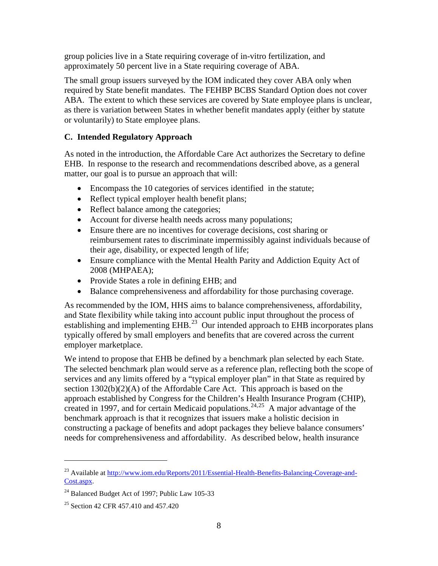group policies live in a State requiring coverage of in-vitro fertilization, and approximately 50 percent live in a State requiring coverage of ABA.

The small group issuers surveyed by the IOM indicated they cover ABA only when required by State benefit mandates. The FEHBP BCBS Standard Option does not cover ABA. The extent to which these services are covered by State employee plans is unclear, as there is variation between States in whether benefit mandates apply (either by statute or voluntarily) to State employee plans.

## <span id="page-9-0"></span>**C. Intended Regulatory Approach**

As noted in the introduction, the Affordable Care Act authorizes the Secretary to define EHB. In response to the research and recommendations described above, as a general matter, our goal is to pursue an approach that will:

- Encompass the 10 categories of services identified in the statute;
- Reflect typical employer health benefit plans;
- Reflect balance among the categories;
- Account for diverse health needs across many populations;
- Ensure there are no incentives for coverage decisions, cost sharing or reimbursement rates to discriminate impermissibly against individuals because of their age, disability, or expected length of life;
- Ensure compliance with the Mental Health Parity and Addiction Equity Act of 2008 (MHPAEA);
- Provide States a role in defining EHB; and
- Balance comprehensiveness and affordability for those purchasing coverage.

As recommended by the IOM, HHS aims to balance comprehensiveness, affordability, and State flexibility while taking into account public input throughout the process of establishing and implementing EHB.<sup>[23](#page-9-1)</sup> Our intended approach to EHB incorporates plans typically offered by small employers and benefits that are covered across the current employer marketplace.

We intend to propose that EHB be defined by a benchmark plan selected by each State. The selected benchmark plan would serve as a reference plan, reflecting both the scope of services and any limits offered by a "typical employer plan" in that State as required by section 1302(b)(2)(A) of the Affordable Care Act. This approach is based on the approach established by Congress for the Children's Health Insurance Program (CHIP), created in 1997, and for certain Medicaid populations. [24,](#page-9-2)[25](#page-9-3) A major advantage of the benchmark approach is that it recognizes that issuers make a holistic decision in constructing a package of benefits and adopt packages they believe balance consumers' needs for comprehensiveness and affordability. As described below, health insurance

<span id="page-9-1"></span><sup>&</sup>lt;sup>23</sup> Available at [http://www.iom.edu/Reports/2011/Essential-Health-Benefits-Balancing-Coverage-and-](http://www.iom.edu/Reports/2011/Essential-Health-Benefits-Balancing-Coverage-and-Cost.aspx)[Cost.aspx.](http://www.iom.edu/Reports/2011/Essential-Health-Benefits-Balancing-Coverage-and-Cost.aspx)

<span id="page-9-2"></span><sup>&</sup>lt;sup>24</sup> Balanced Budget Act of 1997; Public Law 105-33

<span id="page-9-3"></span><sup>&</sup>lt;sup>25</sup> Section 42 CFR 457.410 and 457.420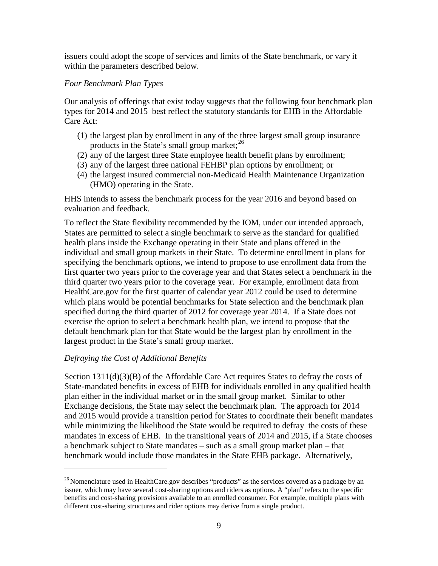issuers could adopt the scope of services and limits of the State benchmark, or vary it within the parameters described below.

## <span id="page-10-0"></span>*Four Benchmark Plan Types*

Our analysis of offerings that exist today suggests that the following four benchmark plan types for 2014 and 2015 best reflect the statutory standards for EHB in the Affordable Care Act:

- (1) the largest plan by enrollment in any of the three largest small group insurance products in the State's small group market;  $^{26}$  $^{26}$  $^{26}$
- (2) any of the largest three State employee health benefit plans by enrollment;
- (3) any of the largest three national FEHBP plan options by enrollment; or
- (4) the largest insured commercial non-Medicaid Health Maintenance Organization (HMO) operating in the State.

HHS intends to assess the benchmark process for the year 2016 and beyond based on evaluation and feedback.

To reflect the State flexibility recommended by the IOM, under our intended approach, States are permitted to select a single benchmark to serve as the standard for qualified health plans inside the Exchange operating in their State and plans offered in the individual and small group markets in their State. To determine enrollment in plans for specifying the benchmark options, we intend to propose to use enrollment data from the first quarter two years prior to the coverage year and that States select a benchmark in the third quarter two years prior to the coverage year. For example, enrollment data from HealthCare.gov for the first quarter of calendar year 2012 could be used to determine which plans would be potential benchmarks for State selection and the benchmark plan specified during the third quarter of 2012 for coverage year 2014. If a State does not exercise the option to select a benchmark health plan, we intend to propose that the default benchmark plan for that State would be the largest plan by enrollment in the largest product in the State's small group market.

## <span id="page-10-1"></span>*Defraying the Cost of Additional Benefits*

 $\overline{a}$ 

Section  $1311(d)(3)(B)$  of the Affordable Care Act requires States to defray the costs of State-mandated benefits in excess of EHB for individuals enrolled in any qualified health plan either in the individual market or in the small group market. Similar to other Exchange decisions, the State may select the benchmark plan. The approach for 2014 and 2015 would provide a transition period for States to coordinate their benefit mandates while minimizing the likelihood the State would be required to defray the costs of these mandates in excess of EHB. In the transitional years of 2014 and 2015, if a State chooses a benchmark subject to State mandates – such as a small group market plan – that benchmark would include those mandates in the State EHB package. Alternatively,

<span id="page-10-2"></span><sup>&</sup>lt;sup>26</sup> Nomenclature used in HealthCare.gov describes "products" as the services covered as a package by an issuer, which may have several cost-sharing options and riders as options. A "plan" refers to the specific benefits and cost-sharing provisions available to an enrolled consumer. For example, multiple plans with different cost-sharing structures and rider options may derive from a single product.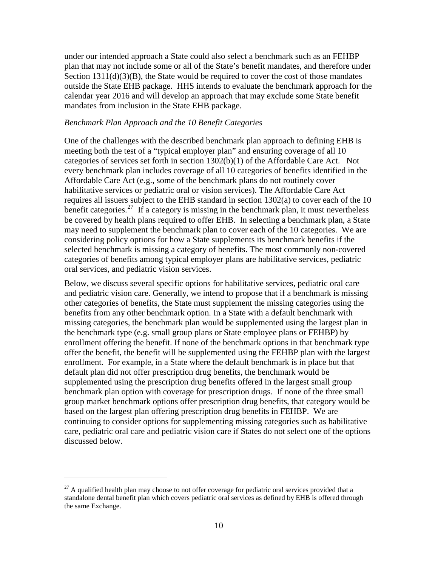under our intended approach a State could also select a benchmark such as an FEHBP plan that may not include some or all of the State's benefit mandates, and therefore under Section  $1311(d)(3)(B)$ , the State would be required to cover the cost of those mandates outside the State EHB package. HHS intends to evaluate the benchmark approach for the calendar year 2016 and will develop an approach that may exclude some State benefit mandates from inclusion in the State EHB package.

#### <span id="page-11-0"></span>*Benchmark Plan Approach and the 10 Benefit Categories*

One of the challenges with the described benchmark plan approach to defining EHB is meeting both the test of a "typical employer plan" and ensuring coverage of all 10 categories of services set forth in section 1302(b)(1) of the Affordable Care Act. Not every benchmark plan includes coverage of all 10 categories of benefits identified in the Affordable Care Act (e.g., some of the benchmark plans do not routinely cover habilitative services or pediatric oral or vision services). The Affordable Care Act requires all issuers subject to the EHB standard in section 1302(a) to cover each of the 10 benefit categories.<sup>[27](#page-11-1)</sup> If a category is missing in the benchmark plan, it must nevertheless be covered by health plans required to offer EHB. In selecting a benchmark plan, a State may need to supplement the benchmark plan to cover each of the 10 categories. We are considering policy options for how a State supplements its benchmark benefits if the selected benchmark is missing a category of benefits. The most commonly non-covered categories of benefits among typical employer plans are habilitative services, pediatric oral services, and pediatric vision services.

Below, we discuss several specific options for habilitative services, pediatric oral care and pediatric vision care. Generally, we intend to propose that if a benchmark is missing other categories of benefits, the State must supplement the missing categories using the benefits from any other benchmark option. In a State with a default benchmark with missing categories, the benchmark plan would be supplemented using the largest plan in the benchmark type (e.g. small group plans or State employee plans or FEHBP) by enrollment offering the benefit. If none of the benchmark options in that benchmark type offer the benefit, the benefit will be supplemented using the FEHBP plan with the largest enrollment. For example, in a State where the default benchmark is in place but that default plan did not offer prescription drug benefits, the benchmark would be supplemented using the prescription drug benefits offered in the largest small group benchmark plan option with coverage for prescription drugs. If none of the three small group market benchmark options offer prescription drug benefits, that category would be based on the largest plan offering prescription drug benefits in FEHBP. We are continuing to consider options for supplementing missing categories such as habilitative care, pediatric oral care and pediatric vision care if States do not select one of the options discussed below.

<span id="page-11-1"></span> $^{27}$  A qualified health plan may choose to not offer coverage for pediatric oral services provided that a standalone dental benefit plan which covers pediatric oral services as defined by EHB is offered through the same Exchange.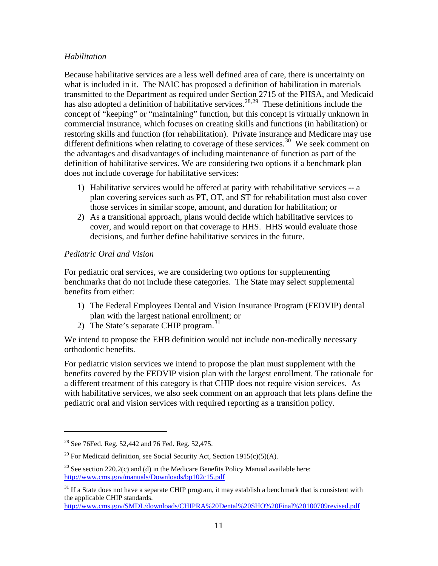## <span id="page-12-0"></span>*Habilitation*

Because habilitative services are a less well defined area of care, there is uncertainty on what is included in it. The NAIC has proposed a definition of habilitation in materials transmitted to the Department as required under Section 2715 of the PHSA, and Medicaid has also adopted a definition of habilitative services.<sup>[28,](#page-12-2)[29](#page-12-3)</sup> These definitions include the concept of "keeping" or "maintaining" function, but this concept is virtually unknown in commercial insurance, which focuses on creating skills and functions (in habilitation) or restoring skills and function (for rehabilitation). Private insurance and Medicare may use different definitions when relating to coverage of these services.<sup>30</sup> We seek comment on the advantages and disadvantages of including maintenance of function as part of the definition of habilitative services. We are considering two options if a benchmark plan does not include coverage for habilitative services:

- 1) Habilitative services would be offered at parity with rehabilitative services -- a plan covering services such as PT, OT, and ST for rehabilitation must also cover those services in similar scope, amount, and duration for habilitation; or
- 2) As a transitional approach, plans would decide which habilitative services to cover, and would report on that coverage to HHS. HHS would evaluate those decisions, and further define habilitative services in the future.

## <span id="page-12-1"></span>*Pediatric Oral and Vision*

For pediatric oral services, we are considering two options for supplementing benchmarks that do not include these categories. The State may select supplemental benefits from either:

- 1) The Federal Employees Dental and Vision Insurance Program (FEDVIP) dental plan with the largest national enrollment; or
- 2) The State's separate CHIP program.<sup>[31](#page-12-5)</sup>

We intend to propose the EHB definition would not include non-medically necessary orthodontic benefits.

For pediatric vision services we intend to propose the plan must supplement with the benefits covered by the FEDVIP vision plan with the largest enrollment. The rationale for a different treatment of this category is that CHIP does not require vision services. As with habilitative services, we also seek comment on an approach that lets plans define the pediatric oral and vision services with required reporting as a transition policy.

<span id="page-12-2"></span> $28$  See 76Fed. Reg. 52,442 and 76 Fed. Reg. 52,475.

<span id="page-12-3"></span><sup>&</sup>lt;sup>29</sup> For Medicaid definition, see Social Security Act, Section 1915(c)(5)(A).

<span id="page-12-4"></span> $30$  See section 220.2(c) and (d) in the Medicare Benefits Policy Manual available here: <http://www.cms.gov/manuals/Downloads/bp102c15.pdf>

<span id="page-12-5"></span> $31$  If a State does not have a separate CHIP program, it may establish a benchmark that is consistent with the applicable CHIP standards.

<http://www.cms.gov/SMDL/downloads/CHIPRA%20Dental%20SHO%20Final%20100709revised.pdf>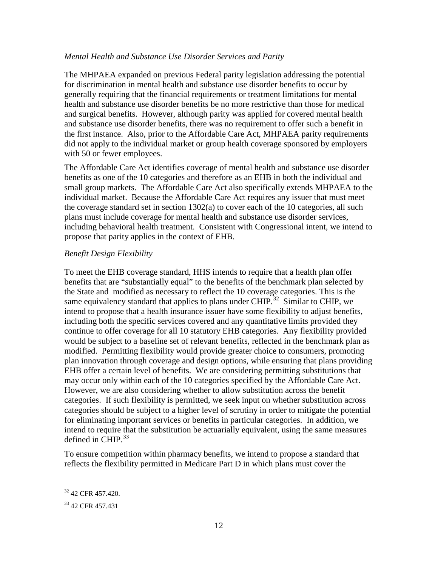#### <span id="page-13-0"></span>*Mental Health and Substance Use Disorder Services and Parity*

The MHPAEA expanded on previous Federal parity legislation addressing the potential for discrimination in mental health and substance use disorder benefits to occur by generally requiring that the financial requirements or treatment limitations for mental health and substance use disorder benefits be no more restrictive than those for medical and surgical benefits. However, although parity was applied for covered mental health and substance use disorder benefits, there was no requirement to offer such a benefit in the first instance. Also, prior to the Affordable Care Act, MHPAEA parity requirements did not apply to the individual market or group health coverage sponsored by employers with 50 or fewer employees.

The Affordable Care Act identifies coverage of mental health and substance use disorder benefits as one of the 10 categories and therefore as an EHB in both the individual and small group markets. The Affordable Care Act also specifically extends MHPAEA to the individual market. Because the Affordable Care Act requires any issuer that must meet the coverage standard set in section  $1302(a)$  to cover each of the 10 categories, all such plans must include coverage for mental health and substance use disorder services, including behavioral health treatment. Consistent with Congressional intent, we intend to propose that parity applies in the context of EHB.

#### <span id="page-13-1"></span>*Benefit Design Flexibility*

To meet the EHB coverage standard, HHS intends to require that a health plan offer benefits that are "substantially equal" to the benefits of the benchmark plan selected by the State and modified as necessary to reflect the 10 coverage categories. This is the same equivalency standard that applies to plans under CHIP.<sup>[32](#page-13-2)</sup> Similar to CHIP, we intend to propose that a health insurance issuer have some flexibility to adjust benefits, including both the specific services covered and any quantitative limits provided they continue to offer coverage for all 10 statutory EHB categories. Any flexibility provided would be subject to a baseline set of relevant benefits, reflected in the benchmark plan as modified. Permitting flexibility would provide greater choice to consumers, promoting plan innovation through coverage and design options, while ensuring that plans providing EHB offer a certain level of benefits. We are considering permitting substitutions that may occur only within each of the 10 categories specified by the Affordable Care Act. However, we are also considering whether to allow substitution across the benefit categories. If such flexibility is permitted, we seek input on whether substitution across categories should be subject to a higher level of scrutiny in order to mitigate the potential for eliminating important services or benefits in particular categories. In addition, we intend to require that the substitution be actuarially equivalent, using the same measures defined in CHIP. $33$ 

To ensure competition within pharmacy benefits, we intend to propose a standard that reflects the flexibility permitted in Medicare Part D in which plans must cover the

<span id="page-13-2"></span><sup>&</sup>lt;sup>32</sup> 42 CFR 457.420.

<span id="page-13-3"></span><sup>&</sup>lt;sup>33</sup> 42 CFR 457.431